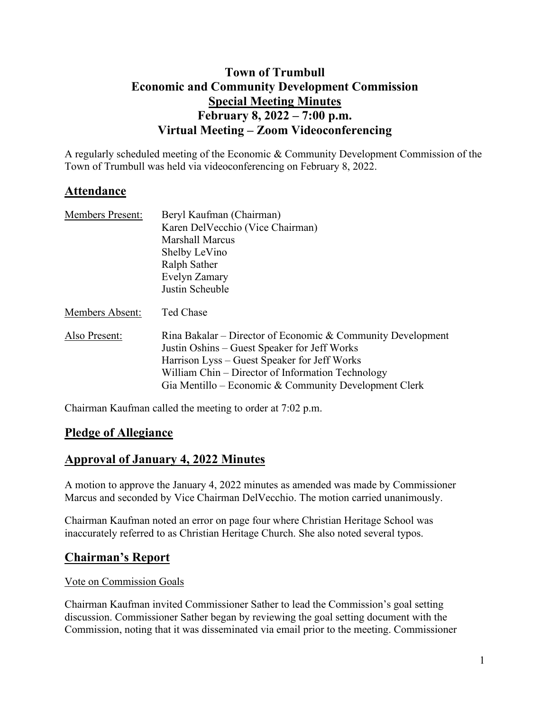# **Town of Trumbull Economic and Community Development Commission Special Meeting Minutes February 8, 2022 – 7:00 p.m. Virtual Meeting – Zoom Videoconferencing**

A regularly scheduled meeting of the Economic & Community Development Commission of the Town of Trumbull was held via videoconferencing on February 8, 2022.

## **Attendance**

| <b>Members Present:</b> | Beryl Kaufman (Chairman)<br>Karen Del Vecchio (Vice Chairman)<br><b>Marshall Marcus</b><br>Shelby LeVino<br>Ralph Sather                                                                                                                                                  |
|-------------------------|---------------------------------------------------------------------------------------------------------------------------------------------------------------------------------------------------------------------------------------------------------------------------|
|                         | Evelyn Zamary<br>Justin Scheuble                                                                                                                                                                                                                                          |
| Members Absent:         | Ted Chase                                                                                                                                                                                                                                                                 |
|                         |                                                                                                                                                                                                                                                                           |
| Also Present:           | Rina Bakalar – Director of Economic & Community Development<br>Justin Oshins – Guest Speaker for Jeff Works<br>Harrison Lyss – Guest Speaker for Jeff Works<br>William Chin – Director of Information Technology<br>Gia Mentillo – Economic & Community Development Clerk |

Chairman Kaufman called the meeting to order at 7:02 p.m.

## **Pledge of Allegiance**

## **Approval of January 4, 2022 Minutes**

A motion to approve the January 4, 2022 minutes as amended was made by Commissioner Marcus and seconded by Vice Chairman DelVecchio. The motion carried unanimously.

Chairman Kaufman noted an error on page four where Christian Heritage School was inaccurately referred to as Christian Heritage Church. She also noted several typos.

# **Chairman's Report**

#### Vote on Commission Goals

Chairman Kaufman invited Commissioner Sather to lead the Commission's goal setting discussion. Commissioner Sather began by reviewing the goal setting document with the Commission, noting that it was disseminated via email prior to the meeting. Commissioner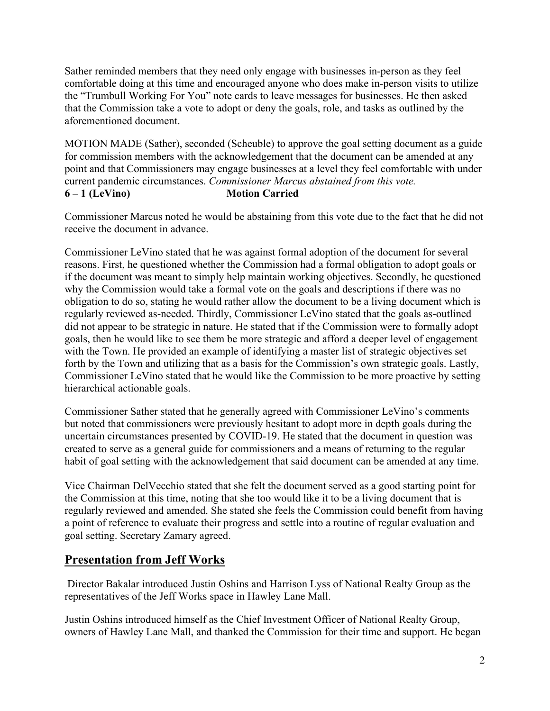Sather reminded members that they need only engage with businesses in-person as they feel comfortable doing at this time and encouraged anyone who does make in-person visits to utilize the "Trumbull Working For You" note cards to leave messages for businesses. He then asked that the Commission take a vote to adopt or deny the goals, role, and tasks as outlined by the aforementioned document.

MOTION MADE (Sather), seconded (Scheuble) to approve the goal setting document as a guide for commission members with the acknowledgement that the document can be amended at any point and that Commissioners may engage businesses at a level they feel comfortable with under current pandemic circumstances. *Commissioner Marcus abstained from this vote.*  **6 – 1 (LeVino) Motion Carried**

Commissioner Marcus noted he would be abstaining from this vote due to the fact that he did not receive the document in advance.

Commissioner LeVino stated that he was against formal adoption of the document for several reasons. First, he questioned whether the Commission had a formal obligation to adopt goals or if the document was meant to simply help maintain working objectives. Secondly, he questioned why the Commission would take a formal vote on the goals and descriptions if there was no obligation to do so, stating he would rather allow the document to be a living document which is regularly reviewed as-needed. Thirdly, Commissioner LeVino stated that the goals as-outlined did not appear to be strategic in nature. He stated that if the Commission were to formally adopt goals, then he would like to see them be more strategic and afford a deeper level of engagement with the Town. He provided an example of identifying a master list of strategic objectives set forth by the Town and utilizing that as a basis for the Commission's own strategic goals. Lastly, Commissioner LeVino stated that he would like the Commission to be more proactive by setting hierarchical actionable goals.

Commissioner Sather stated that he generally agreed with Commissioner LeVino's comments but noted that commissioners were previously hesitant to adopt more in depth goals during the uncertain circumstances presented by COVID-19. He stated that the document in question was created to serve as a general guide for commissioners and a means of returning to the regular habit of goal setting with the acknowledgement that said document can be amended at any time.

Vice Chairman DelVecchio stated that she felt the document served as a good starting point for the Commission at this time, noting that she too would like it to be a living document that is regularly reviewed and amended. She stated she feels the Commission could benefit from having a point of reference to evaluate their progress and settle into a routine of regular evaluation and goal setting. Secretary Zamary agreed.

# **Presentation from Jeff Works**

Director Bakalar introduced Justin Oshins and Harrison Lyss of National Realty Group as the representatives of the Jeff Works space in Hawley Lane Mall.

Justin Oshins introduced himself as the Chief Investment Officer of National Realty Group, owners of Hawley Lane Mall, and thanked the Commission for their time and support. He began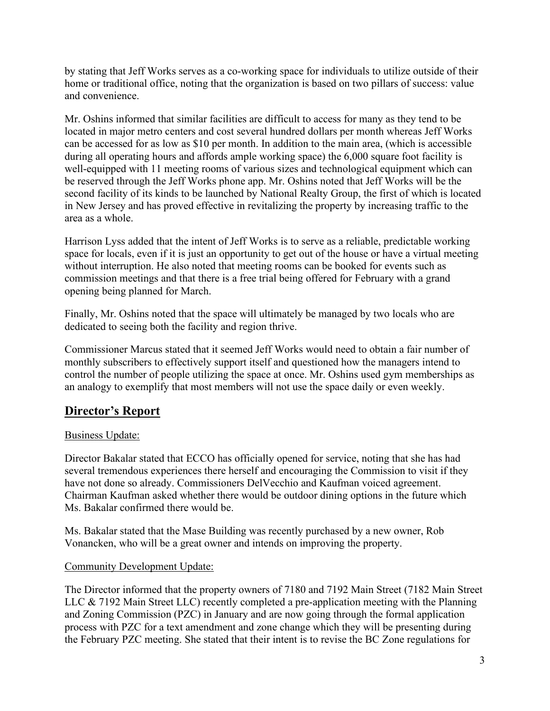by stating that Jeff Works serves as a co-working space for individuals to utilize outside of their home or traditional office, noting that the organization is based on two pillars of success: value and convenience.

Mr. Oshins informed that similar facilities are difficult to access for many as they tend to be located in major metro centers and cost several hundred dollars per month whereas Jeff Works can be accessed for as low as \$10 per month. In addition to the main area, (which is accessible during all operating hours and affords ample working space) the 6,000 square foot facility is well-equipped with 11 meeting rooms of various sizes and technological equipment which can be reserved through the Jeff Works phone app. Mr. Oshins noted that Jeff Works will be the second facility of its kinds to be launched by National Realty Group, the first of which is located in New Jersey and has proved effective in revitalizing the property by increasing traffic to the area as a whole.

Harrison Lyss added that the intent of Jeff Works is to serve as a reliable, predictable working space for locals, even if it is just an opportunity to get out of the house or have a virtual meeting without interruption. He also noted that meeting rooms can be booked for events such as commission meetings and that there is a free trial being offered for February with a grand opening being planned for March.

Finally, Mr. Oshins noted that the space will ultimately be managed by two locals who are dedicated to seeing both the facility and region thrive.

Commissioner Marcus stated that it seemed Jeff Works would need to obtain a fair number of monthly subscribers to effectively support itself and questioned how the managers intend to control the number of people utilizing the space at once. Mr. Oshins used gym memberships as an analogy to exemplify that most members will not use the space daily or even weekly.

# **Director's Report**

### Business Update:

Director Bakalar stated that ECCO has officially opened for service, noting that she has had several tremendous experiences there herself and encouraging the Commission to visit if they have not done so already. Commissioners DelVecchio and Kaufman voiced agreement. Chairman Kaufman asked whether there would be outdoor dining options in the future which Ms. Bakalar confirmed there would be.

Ms. Bakalar stated that the Mase Building was recently purchased by a new owner, Rob Vonancken, who will be a great owner and intends on improving the property.

### Community Development Update:

The Director informed that the property owners of 7180 and 7192 Main Street (7182 Main Street LLC & 7192 Main Street LLC) recently completed a pre-application meeting with the Planning and Zoning Commission (PZC) in January and are now going through the formal application process with PZC for a text amendment and zone change which they will be presenting during the February PZC meeting. She stated that their intent is to revise the BC Zone regulations for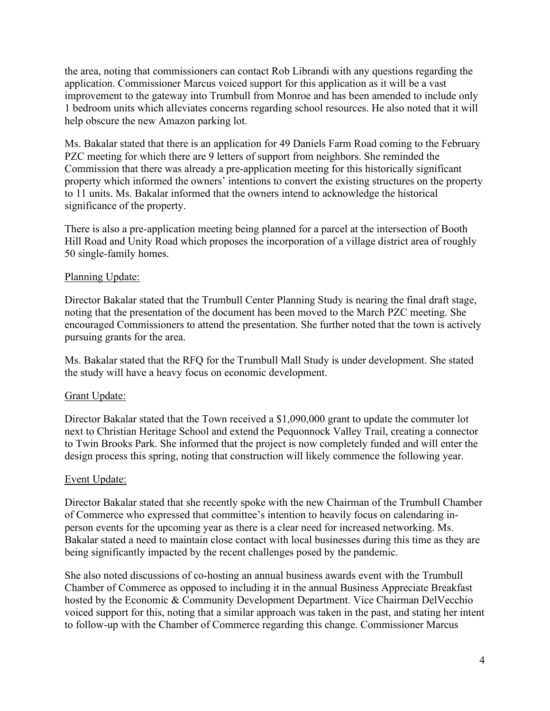the area, noting that commissioners can contact Rob Librandi with any questions regarding the application. Commissioner Marcus voiced support for this application as it will be a vast improvement to the gateway into Trumbull from Monroe and has been amended to include only 1 bedroom units which alleviates concerns regarding school resources. He also noted that it will help obscure the new Amazon parking lot.

Ms. Bakalar stated that there is an application for 49 Daniels Farm Road coming to the February PZC meeting for which there are 9 letters of support from neighbors. She reminded the Commission that there was already a pre-application meeting for this historically significant property which informed the owners' intentions to convert the existing structures on the property to 11 units. Ms. Bakalar informed that the owners intend to acknowledge the historical significance of the property.

There is also a pre-application meeting being planned for a parcel at the intersection of Booth Hill Road and Unity Road which proposes the incorporation of a village district area of roughly 50 single-family homes.

#### Planning Update:

Director Bakalar stated that the Trumbull Center Planning Study is nearing the final draft stage, noting that the presentation of the document has been moved to the March PZC meeting. She encouraged Commissioners to attend the presentation. She further noted that the town is actively pursuing grants for the area.

Ms. Bakalar stated that the RFQ for the Trumbull Mall Study is under development. She stated the study will have a heavy focus on economic development.

#### Grant Update:

Director Bakalar stated that the Town received a \$1,090,000 grant to update the commuter lot next to Christian Heritage School and extend the Pequonnock Valley Trail, creating a connector to Twin Brooks Park. She informed that the project is now completely funded and will enter the design process this spring, noting that construction will likely commence the following year.

#### Event Update:

Director Bakalar stated that she recently spoke with the new Chairman of the Trumbull Chamber of Commerce who expressed that committee's intention to heavily focus on calendaring inperson events for the upcoming year as there is a clear need for increased networking. Ms. Bakalar stated a need to maintain close contact with local businesses during this time as they are being significantly impacted by the recent challenges posed by the pandemic.

She also noted discussions of co-hosting an annual business awards event with the Trumbull Chamber of Commerce as opposed to including it in the annual Business Appreciate Breakfast hosted by the Economic & Community Development Department. Vice Chairman DelVecchio voiced support for this, noting that a similar approach was taken in the past, and stating her intent to follow-up with the Chamber of Commerce regarding this change. Commissioner Marcus